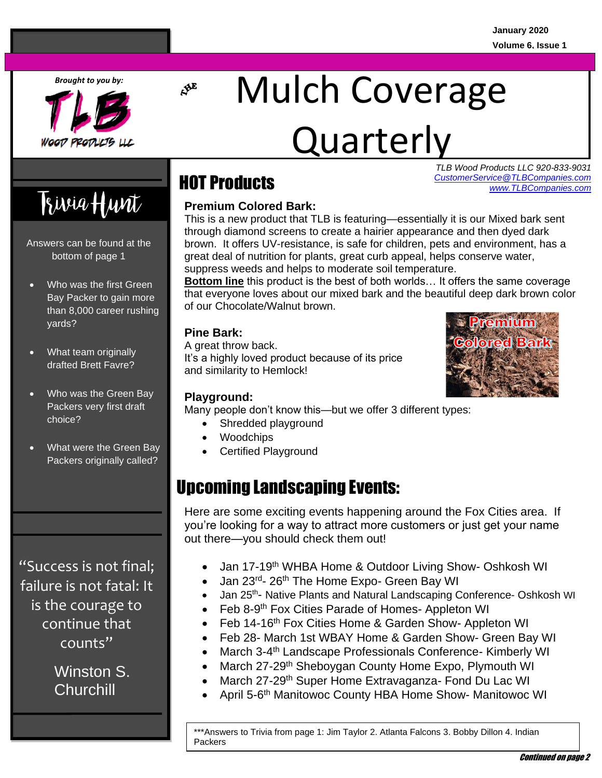*Brought to you by:*



# Mulch Coverage

## Quarterly

*TLB Wood Products LLC 920-833-9031* **PONINCTS**<br> [CustomerService@TLBCompanies.com](mailto:CustomerService@TLBcompanies.com) *[www.TLBCompanies.com](http://www.tlbcompanies.com/)*

## Trivia Hunt

Answers can be found at the bottom of page 1

- Who was the first Green Bay Packer to gain more than 8,000 career rushing yards?
- What team originally drafted Brett Favre?
- Who was the Green Bay Packers very first draft choice?
- What were the Green Bay Packers originally called?

"Success is not final; failure is not fatal: It is the courage to continue that counts"

> Winston S. **Churchill**

### HOT Products

 $\mathcal{S}^E$ 

#### **Premium Colored Bark:**

This is a new product that TLB is featuring—essentially it is our Mixed bark sent through diamond screens to create a hairier appearance and then dyed dark brown. It offers UV-resistance, is safe for children, pets and environment, has a great deal of nutrition for plants, great curb appeal, helps conserve water, suppress weeds and helps to moderate soil temperature.

**Bottom line** this product is the best of both worlds… It offers the same coverage that everyone loves about our mixed bark and the beautiful deep dark brown color of our Chocolate/Walnut brown.

#### **Pine Bark:**

A great throw back. It's a highly loved product because of its price and similarity to Hemlock!

#### **Playground:**

Many people don't know this—but we offer 3 different types:

- Shredded playground
- Woodchips
- Certified Playground

## Upcoming Landscaping Events:

Here are some exciting events happening around the Fox Cities area. If you're fooking for a way to attract friend<br>out there—you should check them out! you're looking for a way to attract more customers or just get your name

- Jan 17-19<sup>th</sup> WHBA Home & Outdoor Living Show- Oshkosh WI
- Jan 23<sup>rd</sup>- 26<sup>th</sup> The Home Expo- Green Bay WI
- Jan 25<sup>th</sup>- Native Plants and Natural Landscaping Conference- Oshkosh WI
- Feb 8-9<sup>th</sup> Fox Cities Parade of Homes- Appleton WI
- Feb 14-16<sup>th</sup> Fox Cities Home & Garden Show- Appleton WI
- Feb 28- March 1st WBAY Home & Garden Show- Green Bay WI
- March 3-4<sup>th</sup> Landscape Professionals Conference- Kimberly WI
- March 27-29<sup>th</sup> Sheboygan County Home Expo, Plymouth WI
- March 27-29<sup>th</sup> Super Home Extravaganza- Fond Du Lac WI
- April 5-6<sup>th</sup> Manitowoc County HBA Home Show- Manitowoc WI

\*\*\*Answers to Trivia from page 1: Jim Taylor 2. Atlanta Falcons 3. Bobby Dillon 4. Indian Packers